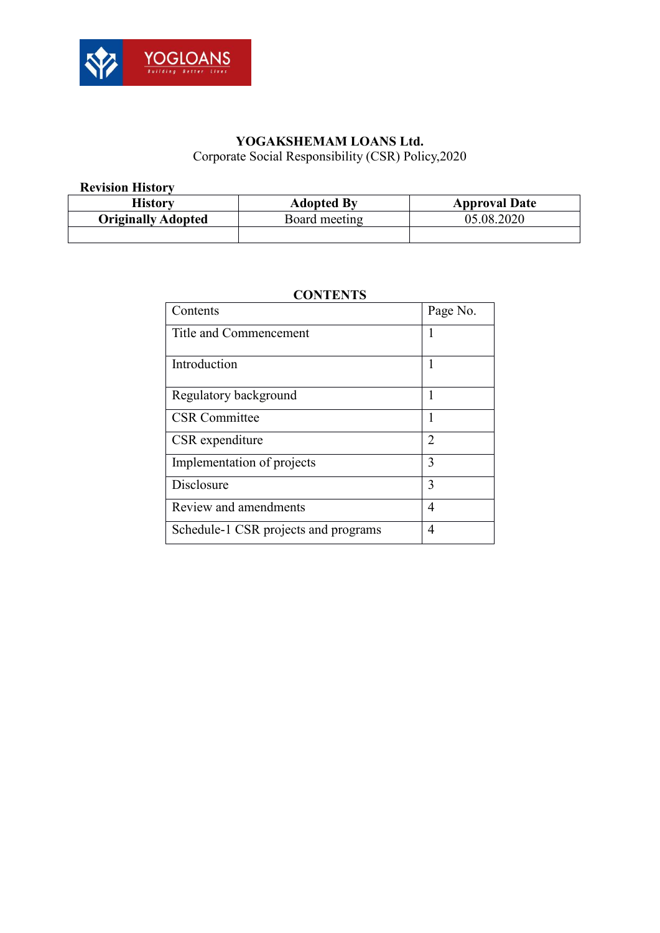

# **YOGAKSHEMAM LOANS Ltd.**

Corporate Social Responsibility (CSR) Policy,2020

#### **Revision History**

| Historv                   | <b>Adopted By</b> | <b>Approval Date</b> |  |
|---------------------------|-------------------|----------------------|--|
| <b>Originally Adopted</b> | Board meeting     | 05.08.2020           |  |
|                           |                   |                      |  |

# Contents Page No. Title and Commencement 1 Introduction 1 Regulatory background 1 CSR Committee 1 CSR expenditure 2 Implementation of projects 3 Disclosure 3 Review and amendments 4 Schedule-1 CSR projects and programs 4

## **CONTENTS**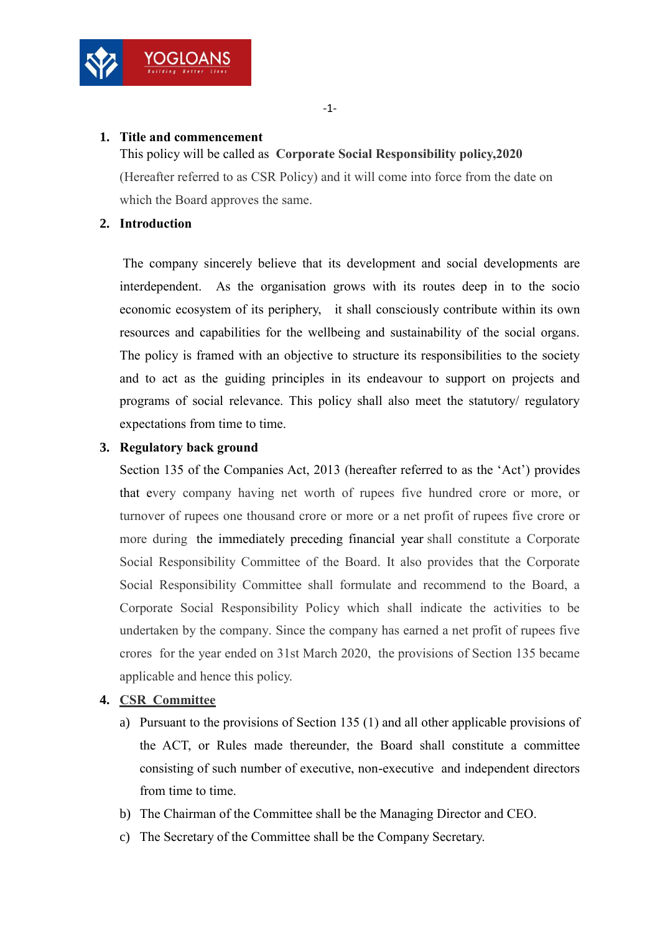#### **1. Title and commencement**

YOGLOA

This policy will be called as **Corporate Social Responsibility policy,2020** (Hereafter referred to as CSR Policy) and it will come into force from the date on which the Board approves the same.

### **2. Introduction**

The company sincerely believe that its development and social developments are interdependent. As the organisation grows with its routes deep in to the socio economic ecosystem of its periphery, it shall consciously contribute within its own resources and capabilities for the wellbeing and sustainability of the social organs. The policy is framed with an objective to structure its responsibilities to the society and to act as the guiding principles in its endeavour to support on projects and programs of social relevance. This policy shall also meet the statutory/ regulatory expectations from time to time.

### **3. Regulatory back ground**

Section 135 of the Companies Act, 2013 (hereafter referred to as the 'Act') provides that every company having net worth of rupees five hundred crore or more, or turnover of rupees one thousand crore or more or a net profit of rupees five crore or more during the immediately preceding financial year shall constitute a Corporate Social Responsibility Committee of the Board. It also provides that the Corporate Social Responsibility Committee shall formulate and recommend to the Board, a Corporate Social Responsibility Policy which shall indicate the activities to be undertaken by the company. Since the company has earned a net profit of rupees five crores for the year ended on 31st March 2020, the provisions of Section 135 became applicable and hence this policy.

## **4. CSR Committee**

- a) Pursuant to the provisions of Section 135 (1) and all other applicable provisions of the ACT, or Rules made thereunder, the Board shall constitute a committee consisting of such number of executive, non-executive and independent directors from time to time.
- b) The Chairman of the Committee shall be the Managing Director and CEO.
- c) The Secretary of the Committee shall be the Company Secretary.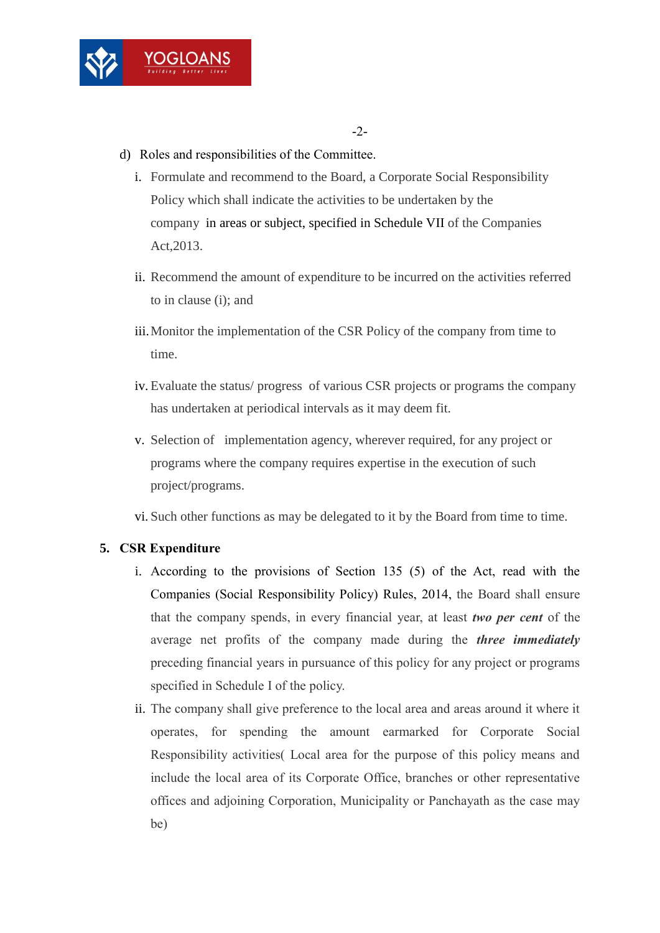

- d) Roles and responsibilities of the Committee.
	- i. Formulate and recommend to the Board, a Corporate Social Responsibility Policy which shall indicate the activities to be undertaken by the company in areas or subject, specified in Schedule VII of the Companies Act,2013.
	- ii. Recommend the amount of expenditure to be incurred on the activities referred to in clause (i); and
	- iii.Monitor the implementation of the CSR Policy of the company from time to time.
	- iv. Evaluate the status/ progress of various CSR projects or programs the company has undertaken at periodical intervals as it may deem fit.
	- v. Selection of implementation agency, wherever required, for any project or programs where the company requires expertise in the execution of such project/programs.
	- vi. Such other functions as may be delegated to it by the Board from time to time.

# **5. CSR Expenditure**

- i. According to the provisions of Section 135 (5) of the Act, read with the Companies (Social Responsibility Policy) Rules, 2014, the Board shall ensure that the company spends, in every financial year, at least *two per cent* of the average net profits of the company made during the *three immediately* preceding financial years in pursuance of this policy for any project or programs specified in Schedule I of the policy.
- ii. The company shall give preference to the local area and areas around it where it operates, for spending the amount earmarked for Corporate Social Responsibility activities( Local area for the purpose of this policy means and include the local area of its Corporate Office, branches or other representative offices and adjoining Corporation, Municipality or Panchayath as the case may be)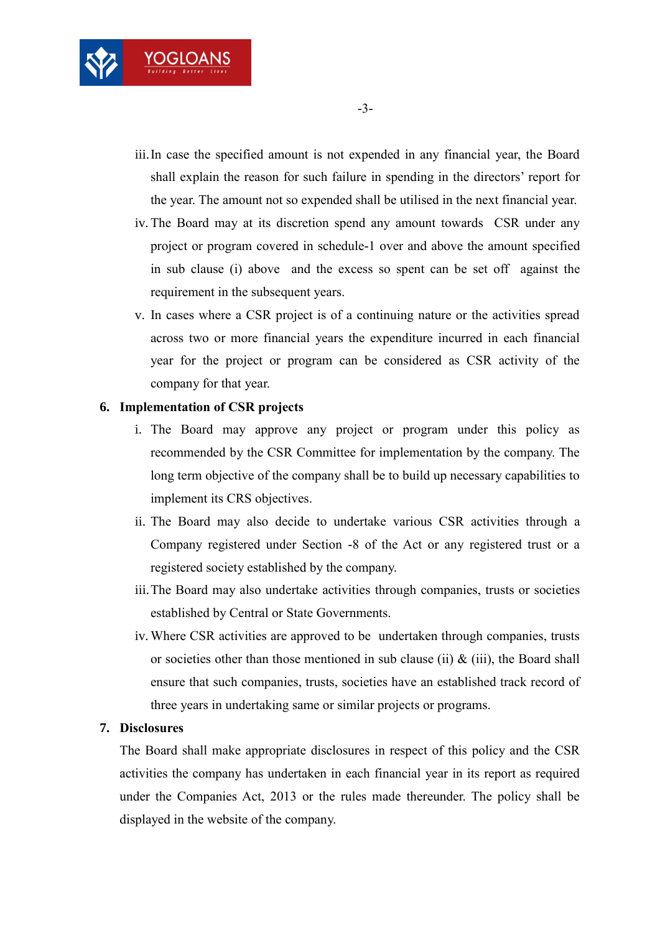

- iii.In case the specified amount is not expended in any financial year, the Board shall explain the reason for such failure in spending in the directors' report for the year. The amount not so expended shall be utilised in the next financial year.
- iv.The Board may at its discretion spend any amount towards CSR under any project or program covered in schedule-1 over and above the amount specified in sub clause (i) above and the excess so spent can be set off against the requirement in the subsequent years.
- v. In cases where a CSR project is of a continuing nature or the activities spread across two or more financial years the expenditure incurred in each financial year for the project or program can be considered as CSR activity of the company for that year.

### **6. Implementation of CSR projects**

- i. The Board may approve any project or program under this policy as recommended by the CSR Committee for implementation by the company. The long term objective of the company shall be to build up necessary capabilities to implement its CRS objectives.
- ii. The Board may also decide to undertake various CSR activities through a Company registered under Section -8 of the Act or any registered trust or a registered society established by the company.
- iii.The Board may also undertake activities through companies, trusts or societies established by Central or State Governments.
- iv.Where CSR activities are approved to be undertaken through companies, trusts or societies other than those mentioned in sub clause (ii)  $\&$  (iii), the Board shall ensure that such companies, trusts, societies have an established track record of three years in undertaking same or similar projects or programs.

#### **7. Disclosures**

The Board shall make appropriate disclosures in respect of this policy and the CSR activities the company has undertaken in each financial year in its report as required under the Companies Act, 2013 or the rules made thereunder. The policy shall be displayed in the website of the company.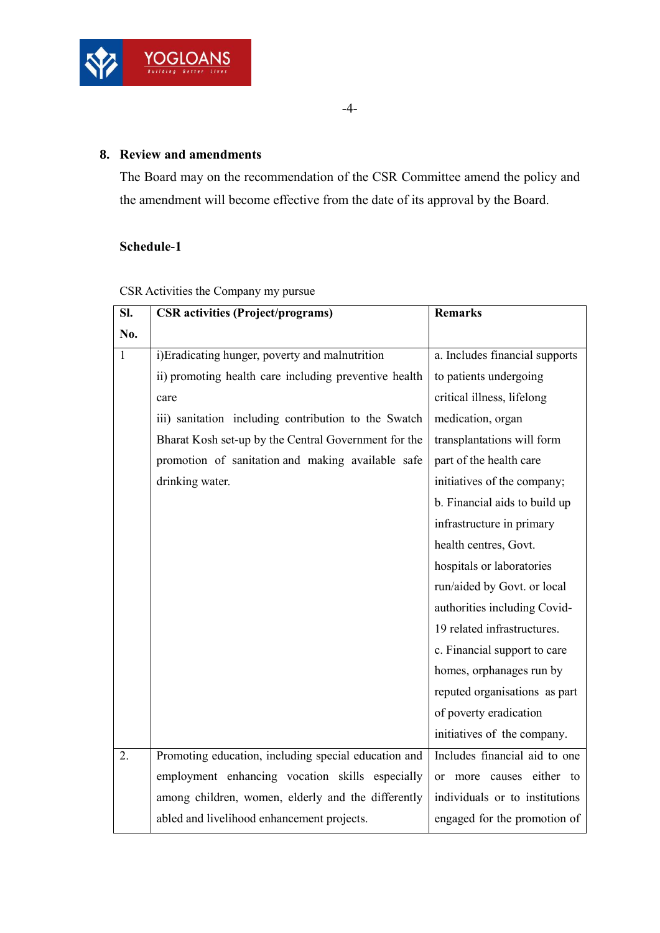

# **8. Review and amendments**

The Board may on the recommendation of the CSR Committee amend the policy and the amendment will become effective from the date of its approval by the Board.

# **Schedule-1**

|  | CSR Activities the Company my pursue |
|--|--------------------------------------|
|--|--------------------------------------|

| SI.          | <b>CSR</b> activities (Project/programs)              | <b>Remarks</b>                         |  |  |
|--------------|-------------------------------------------------------|----------------------------------------|--|--|
| No.          |                                                       |                                        |  |  |
| $\mathbf{1}$ | i)Eradicating hunger, poverty and malnutrition        | a. Includes financial supports         |  |  |
|              | ii) promoting health care including preventive health | to patients undergoing                 |  |  |
|              | care                                                  | critical illness, lifelong             |  |  |
|              | iii) sanitation including contribution to the Swatch  | medication, organ                      |  |  |
|              | Bharat Kosh set-up by the Central Government for the  | transplantations will form             |  |  |
|              | promotion of sanitation and making available safe     | part of the health care                |  |  |
|              | drinking water.                                       | initiatives of the company;            |  |  |
|              |                                                       | b. Financial aids to build up          |  |  |
|              |                                                       | infrastructure in primary              |  |  |
|              |                                                       | health centres, Govt.                  |  |  |
|              |                                                       | hospitals or laboratories              |  |  |
|              |                                                       | run/aided by Govt. or local            |  |  |
|              |                                                       | authorities including Covid-           |  |  |
|              |                                                       | 19 related infrastructures.            |  |  |
|              |                                                       | c. Financial support to care           |  |  |
|              |                                                       | homes, orphanages run by               |  |  |
|              |                                                       | reputed organisations as part          |  |  |
|              |                                                       | of poverty eradication                 |  |  |
|              |                                                       | initiatives of the company.            |  |  |
| 2.           | Promoting education, including special education and  | Includes financial aid to one          |  |  |
|              | employment enhancing vocation skills especially       | more causes either to<br><sub>or</sub> |  |  |
|              | among children, women, elderly and the differently    | individuals or to institutions         |  |  |
|              | abled and livelihood enhancement projects.            | engaged for the promotion of           |  |  |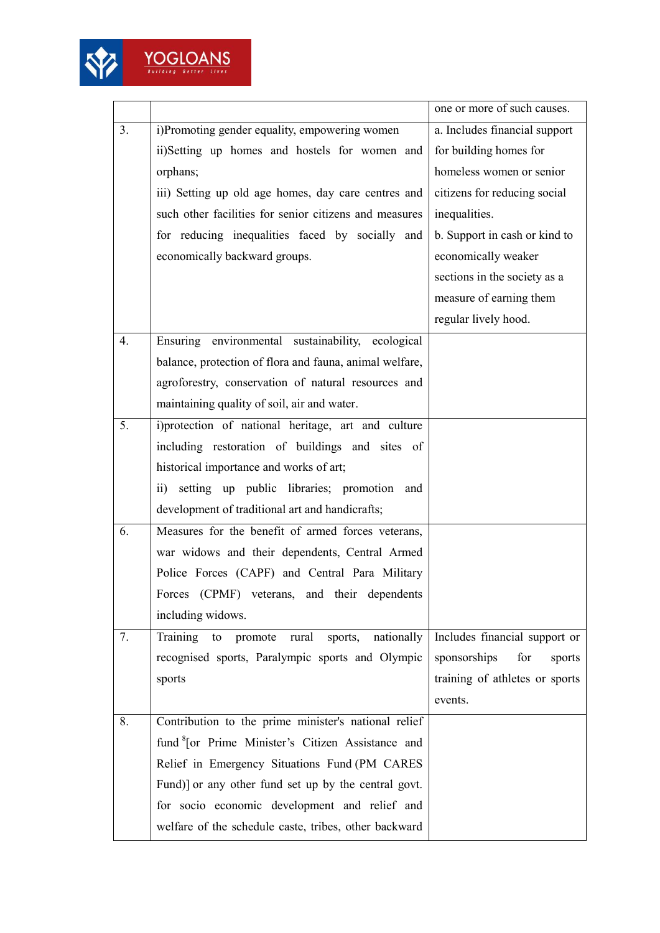

|    |                                                                 | one or more of such causes.    |  |
|----|-----------------------------------------------------------------|--------------------------------|--|
| 3. | i)Promoting gender equality, empowering women                   | a. Includes financial support  |  |
|    | ii)Setting up homes and hostels for women and                   | for building homes for         |  |
|    | orphans;                                                        | homeless women or senior       |  |
|    | iii) Setting up old age homes, day care centres and             | citizens for reducing social   |  |
|    | such other facilities for senior citizens and measures          | inequalities.                  |  |
|    | for reducing inequalities faced by socially and                 | b. Support in cash or kind to  |  |
|    | economically backward groups.                                   | economically weaker            |  |
|    |                                                                 | sections in the society as a   |  |
|    |                                                                 | measure of earning them        |  |
|    |                                                                 | regular lively hood.           |  |
| 4. | Ensuring environmental sustainability, ecological               |                                |  |
|    | balance, protection of flora and fauna, animal welfare,         |                                |  |
|    | agroforestry, conservation of natural resources and             |                                |  |
|    | maintaining quality of soil, air and water.                     |                                |  |
| 5. | i)protection of national heritage, art and culture              |                                |  |
|    | including restoration of buildings and sites of                 |                                |  |
|    | historical importance and works of art;                         |                                |  |
|    | setting up public libraries; promotion and<br>$\overline{11}$ ) |                                |  |
|    | development of traditional art and handicrafts;                 |                                |  |
| 6. | Measures for the benefit of armed forces veterans,              |                                |  |
|    | war widows and their dependents, Central Armed                  |                                |  |
|    | Police Forces (CAPF) and Central Para Military                  |                                |  |
|    | Forces (CPMF) veterans, and their dependents                    |                                |  |
|    | including widows.                                               |                                |  |
| 7. | sports, nationally<br>Training to<br>promote rural              | Includes financial support or  |  |
|    | recognised sports, Paralympic sports and Olympic                | sponsorships<br>for<br>sports  |  |
|    | sports                                                          | training of athletes or sports |  |
|    |                                                                 | events.                        |  |
| 8. | Contribution to the prime minister's national relief            |                                |  |
|    | fund <sup>8</sup> [or Prime Minister's Citizen Assistance and   |                                |  |
|    | Relief in Emergency Situations Fund (PM CARES                   |                                |  |
|    | Fund)] or any other fund set up by the central govt.            |                                |  |
|    | for socio economic development and relief and                   |                                |  |
|    | welfare of the schedule caste, tribes, other backward           |                                |  |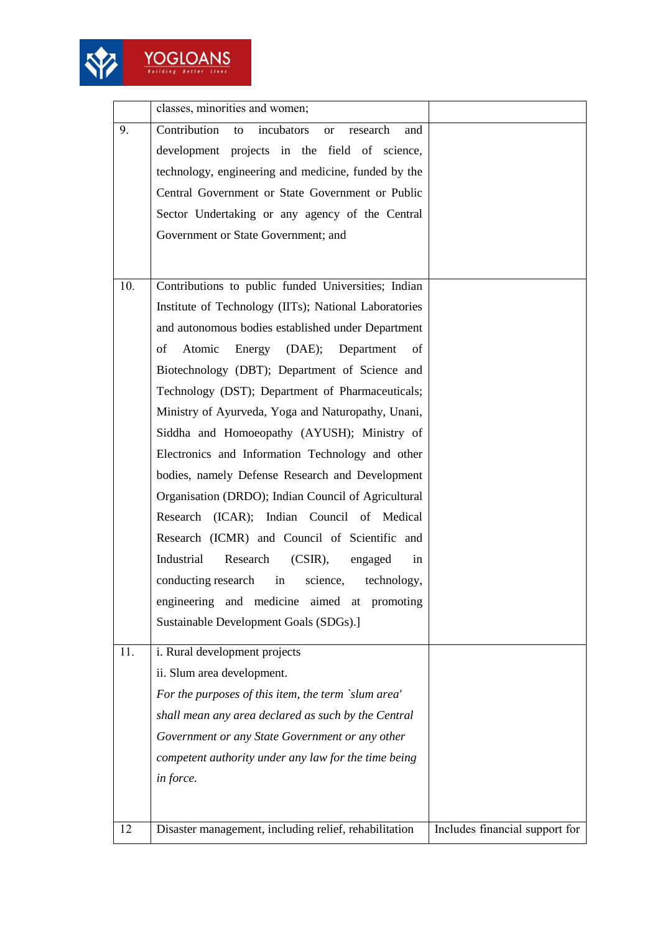

 $\frac{YOGLOANS}{\frac{9}{8 \times 100 \times 9} \times 0.0000 \times 10000}$ 

|            | classes, minorities and women;                                                                                                                                                                                                                                                                                                                                                                                                                                                                                                                                                                                                                                                                                                                                                                                                                                                                                                                                                                                                                                                                                                                                                                                    |                                |
|------------|-------------------------------------------------------------------------------------------------------------------------------------------------------------------------------------------------------------------------------------------------------------------------------------------------------------------------------------------------------------------------------------------------------------------------------------------------------------------------------------------------------------------------------------------------------------------------------------------------------------------------------------------------------------------------------------------------------------------------------------------------------------------------------------------------------------------------------------------------------------------------------------------------------------------------------------------------------------------------------------------------------------------------------------------------------------------------------------------------------------------------------------------------------------------------------------------------------------------|--------------------------------|
| 9.         | Contribution<br>incubators<br>research<br>to<br><sub>or</sub><br>and<br>development projects in the field of science,<br>technology, engineering and medicine, funded by the<br>Central Government or State Government or Public<br>Sector Undertaking or any agency of the Central<br>Government or State Government; and                                                                                                                                                                                                                                                                                                                                                                                                                                                                                                                                                                                                                                                                                                                                                                                                                                                                                        |                                |
| 10.<br>11. | Contributions to public funded Universities; Indian<br>Institute of Technology (IITs); National Laboratories<br>and autonomous bodies established under Department<br>Atomic<br>of<br>Energy<br>(DAE);<br>Department<br>of<br>Biotechnology (DBT); Department of Science and<br>Technology (DST); Department of Pharmaceuticals;<br>Ministry of Ayurveda, Yoga and Naturopathy, Unani,<br>Siddha and Homoeopathy (AYUSH); Ministry of<br>Electronics and Information Technology and other<br>bodies, namely Defense Research and Development<br>Organisation (DRDO); Indian Council of Agricultural<br>Research (ICAR); Indian Council of Medical<br>Research (ICMR) and Council of Scientific and<br>Industrial<br>Research<br>$(CSIR)$ ,<br>engaged<br>in<br>conducting research in<br>science,<br>technology,<br>engineering and medicine aimed at<br>promoting<br>Sustainable Development Goals (SDGs).]<br>i. Rural development projects<br>ii. Slum area development.<br>For the purposes of this item, the term `slum area'<br>shall mean any area declared as such by the Central<br>Government or any State Government or any other<br>competent authority under any law for the time being<br>in force. |                                |
| 12         | Disaster management, including relief, rehabilitation                                                                                                                                                                                                                                                                                                                                                                                                                                                                                                                                                                                                                                                                                                                                                                                                                                                                                                                                                                                                                                                                                                                                                             | Includes financial support for |